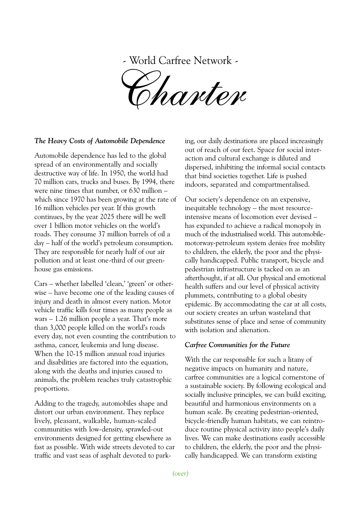- World Carfree Network -

Charter

## The Heavy Costs of Automobile Dependence

Automobile dependence has led to the global spread of an environmentally and socially destructive way of life. In 1950, the world had 70 million cars, trucks and buses. By 1994, there were nine times that number, or 630 million – which since 1970 has been growing at the rate of 16 million vehicles per year. If this growth continues, by the year 2025 there will be well over 1 billion motor vehicles on the world's roads. They consume 37 million barrels of oil a day – half of the world's petroleum consumption. They are responsible for nearly half of our air pollution and at least one-third of our greenhouse gas emissions.

Cars – whether labelled 'clean,' 'green' or otherwise – have become one of the leading causes of injury and death in almost every nation. Motor vehicle traffic kills four times as many people as wars – 1.26 million people a year. That's more than 3,000 people killed on the world's roads every day, not even counting the contribution to asthma, cancer, leukemia and lung disease. When the 10-15 million annual road injuries and disabilities are factored into the equation, along with the deaths and injuries caused to animals, the problem reaches truly catastrophic proportions.

Adding to the tragedy, automobiles shape and distort our urban environment. They replace lively, pleasant, walkable, human-scaled communities with low-density, sprawled-out environments designed for getting elsewhere as fast as possible. With wide streets devoted to car traffic and vast seas of asphalt devoted to park-

ing, our daily destinations are placed increasingly out of reach of our feet. Space for social interaction and cultural exchange is diluted and dispersed, inhibiting the informal social contacts that bind societies together. Life is pushed indoors, separated and compartmentalised.

Our society's dependence on an expensive, inequitable technology – the most resourceintensive means of locomotion ever devised – has expanded to achieve a radical monopoly in much of the industrialised world. This automobilemotorway-petroleum system denies free mobility to children, the elderly, the poor and the physically handicapped. Public transport, bicycle and pedestrian infrastructure is tacked on as an afterthought, if at all. Our physical and emotional health suffers and our level of physical activity plummets, contributing to a global obesity epidemic. By accommodating the car at all costs, our society creates an urban wasteland that substitutes sense of place and sense of community with isolation and alienation.

## Carfree Communities for the Future

With the car responsible for such a litany of negative impacts on humanity and nature, carfree communities are a logical cornerstone of a sustainable society. By following ecological and socially inclusive principles, we can build exciting, beautiful and harmonious environments on a human scale. By creating pedestrian-oriented, bicycle-friendly human habitats, we can reintroduce routine physical activity into people's daily lives. We can make destinations easily accessible to children, the elderly, the poor and the physically handicapped. We can transform existing